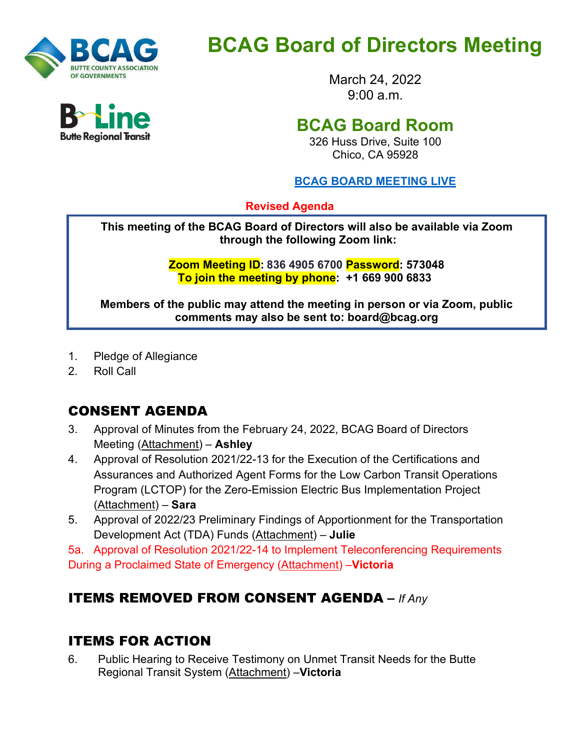

# **BCAG Board of Directors Meeting**

March 24, 2022 9:00 a.m.

## **BCAG Board Room**

326 Huss Drive, Suite 100 Chico, CA 95928

#### **BCAG BOARD [MEETING LIVE](https://us02web.zoom.us/j/81151432955?pwd=aWFHV0lLbG5SejhKdEJPZG9LSy96dz09)**

**Revised Agenda**

**This meeting of the BCAG Board of Directors will also be available via Zoom through the following Zoom link:**

> **Zoom Meeting ID: 836 4905 6700 Password: 573048 To join the meeting by phone: +1 669 900 6833**

**Members of the public may attend the meeting in person or via Zoom, public comments may also be sent to: board@bcag.org**

- 1. Pledge of Allegiance
- 2. Roll Call

## CONSENT AGENDA

- 3. Approval of Minutes from the February 24, 2022, BCAG Board of Directors Meeting (Attachment) – **Ashley**
- 4. Approval of Resolution 2021/22-13 for the Execution of the Certifications and Assurances and Authorized Agent Forms for the Low Carbon Transit Operations Program (LCTOP) for the Zero-Emission Electric Bus Implementation Project (Attachment) – **Sara**
- 5. Approval of 2022/23 Preliminary Findings of Apportionment for the Transportation Development Act (TDA) Funds (Attachment) – **Julie**

5a. Approval of Resolution 2021/22-14 to Implement Teleconferencing Requirements During a Proclaimed State of Emergency (Attachment) –**Victoria**

#### ITEMS REMOVED FROM CONSENT AGENDA **–** *If Any*

#### ITEMS FOR ACTION

6. Public Hearing to Receive Testimony on Unmet Transit Needs for the Butte Regional Transit System (Attachment) –**Victoria**